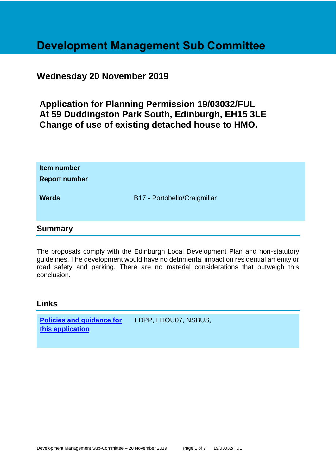## **Development Management Sub Committee**

## **Wednesday 20 November 2019**

**Application for Planning Permission 19/03032/FUL At 59 Duddingston Park South, Edinburgh, EH15 3LE Change of use of existing detached house to HMO.**

| Item number<br><b>Report number</b> |                              |
|-------------------------------------|------------------------------|
| <b>Wards</b>                        | B17 - Portobello/Craigmillar |
|                                     |                              |
| <b>Summary</b>                      |                              |

The proposals comply with the Edinburgh Local Development Plan and non-statutory guidelines. The development would have no detrimental impact on residential amenity or road safety and parking. There are no material considerations that outweigh this conclusion.

#### **Links**

**[Policies and guidance for](file:///C:/uniform/temp/uf04148.rtf%23Policies)  [this application](file:///C:/uniform/temp/uf04148.rtf%23Policies)** LDPP, LHOU07, NSBUS,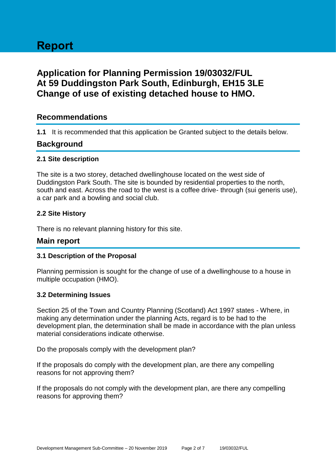# **Report**

## **Application for Planning Permission 19/03032/FUL At 59 Duddingston Park South, Edinburgh, EH15 3LE Change of use of existing detached house to HMO.**

#### **Recommendations**

**1.1** It is recommended that this application be Granted subject to the details below.

#### **Background**

#### **2.1 Site description**

The site is a two storey, detached dwellinghouse located on the west side of Duddingston Park South. The site is bounded by residential properties to the north, south and east. Across the road to the west is a coffee drive- through (sui generis use), a car park and a bowling and social club.

#### **2.2 Site History**

There is no relevant planning history for this site.

#### **Main report**

#### **3.1 Description of the Proposal**

Planning permission is sought for the change of use of a dwellinghouse to a house in multiple occupation (HMO).

#### **3.2 Determining Issues**

Section 25 of the Town and Country Planning (Scotland) Act 1997 states - Where, in making any determination under the planning Acts, regard is to be had to the development plan, the determination shall be made in accordance with the plan unless material considerations indicate otherwise.

Do the proposals comply with the development plan?

If the proposals do comply with the development plan, are there any compelling reasons for not approving them?

If the proposals do not comply with the development plan, are there any compelling reasons for approving them?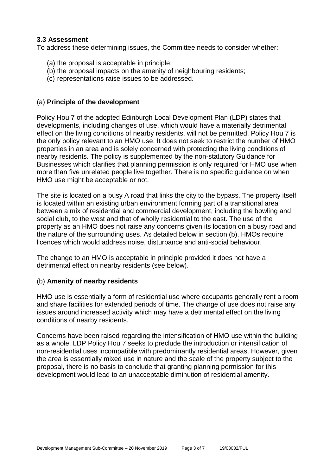#### **3.3 Assessment**

To address these determining issues, the Committee needs to consider whether:

- (a) the proposal is acceptable in principle;
- (b) the proposal impacts on the amenity of neighbouring residents;
- (c) representations raise issues to be addressed.

#### (a) **Principle of the development**

Policy Hou 7 of the adopted Edinburgh Local Development Plan (LDP) states that developments, including changes of use, which would have a materially detrimental effect on the living conditions of nearby residents, will not be permitted. Policy Hou 7 is the only policy relevant to an HMO use. It does not seek to restrict the number of HMO properties in an area and is solely concerned with protecting the living conditions of nearby residents. The policy is supplemented by the non-statutory Guidance for Businesses which clarifies that planning permission is only required for HMO use when more than five unrelated people live together. There is no specific guidance on when HMO use might be acceptable or not.

The site is located on a busy A road that links the city to the bypass. The property itself is located within an existing urban environment forming part of a transitional area between a mix of residential and commercial development, including the bowling and social club, to the west and that of wholly residential to the east. The use of the property as an HMO does not raise any concerns given its location on a busy road and the nature of the surrounding uses. As detailed below in section (b), HMOs require licences which would address noise, disturbance and anti-social behaviour.

The change to an HMO is acceptable in principle provided it does not have a detrimental effect on nearby residents (see below).

#### (b) **Amenity of nearby residents**

HMO use is essentially a form of residential use where occupants generally rent a room and share facilities for extended periods of time. The change of use does not raise any issues around increased activity which may have a detrimental effect on the living conditions of nearby residents.

Concerns have been raised regarding the intensification of HMO use within the building as a whole. LDP Policy Hou 7 seeks to preclude the introduction or intensification of non-residential uses incompatible with predominantly residential areas. However, given the area is essentially mixed use in nature and the scale of the property subject to the proposal, there is no basis to conclude that granting planning permission for this development would lead to an unacceptable diminution of residential amenity.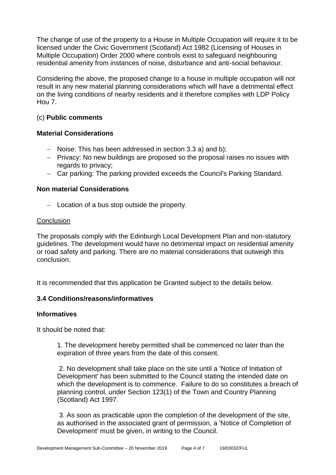The change of use of the property to a House in Multiple Occupation will require it to be licensed under the Civic Government (Scotland) Act 1982 (Licensing of Houses in Multiple Occupation) Order 2000 where controls exist to safeguard neighbouring residential amenity from instances of noise, disturbance and anti-social behaviour.

Considering the above, the proposed change to a house in multiple occupation will not result in any new material planning considerations which will have a detrimental effect on the living conditions of nearby residents and it therefore complies with LDP Policy Hou 7.

#### (c) **Public comments**

#### **Material Considerations**

- − Noise: This has been addressed in section 3.3 a) and b);
- − Privacy: No new buildings are proposed so the proposal raises no issues with regards to privacy;
- − Car parking: The parking provided exceeds the Council's Parking Standard.

#### **Non material Considerations**

− Location of a bus stop outside the property.

#### **Conclusion**

The proposals comply with the Edinburgh Local Development Plan and non-statutory guidelines. The development would have no detrimental impact on residential amenity or road safety and parking. There are no material considerations that outweigh this conclusion.

It is recommended that this application be Granted subject to the details below.

#### **3.4 Conditions/reasons/informatives**

#### **Informatives**

It should be noted that:

1. The development hereby permitted shall be commenced no later than the expiration of three years from the date of this consent.

2. No development shall take place on the site until a 'Notice of Initiation of Development' has been submitted to the Council stating the intended date on which the development is to commence. Failure to do so constitutes a breach of planning control, under Section 123(1) of the Town and Country Planning (Scotland) Act 1997.

3. As soon as practicable upon the completion of the development of the site, as authorised in the associated grant of permission, a 'Notice of Completion of Development' must be given, in writing to the Council.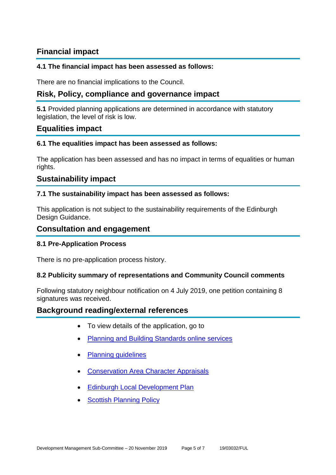## **Financial impact**

#### **4.1 The financial impact has been assessed as follows:**

There are no financial implications to the Council.

### **Risk, Policy, compliance and governance impact**

**5.1** Provided planning applications are determined in accordance with statutory legislation, the level of risk is low.

#### **Equalities impact**

#### **6.1 The equalities impact has been assessed as follows:**

The application has been assessed and has no impact in terms of equalities or human rights.

#### **Sustainability impact**

#### **7.1 The sustainability impact has been assessed as follows:**

This application is not subject to the sustainability requirements of the Edinburgh Design Guidance.

#### **Consultation and engagement**

#### **8.1 Pre-Application Process**

There is no pre-application process history.

#### **8.2 Publicity summary of representations and Community Council comments**

Following statutory neighbour notification on 4 July 2019, one petition containing 8 signatures was received.

#### **Background reading/external references**

- To view details of the application, go to
- [Planning and Building Standards online services](https://citydev-portal.edinburgh.gov.uk/idoxpa-web/search.do?action=simple&searchType=Application)
- Planning quidelines
- [Conservation Area Character Appraisals](http://www.edinburgh.gov.uk/characterappraisals)
- **[Edinburgh Local Development Plan](http://www.edinburgh.gov.uk/localdevelopmentplan)**
- **[Scottish Planning Policy](http://www.scotland.gov.uk/Topics/Built-Environment/planning/Policy)**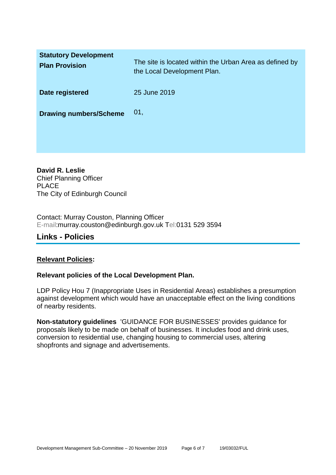| <b>Statutory Development</b><br><b>Plan Provision</b> | The site is located within the Urban Area as defined by<br>the Local Development Plan. |
|-------------------------------------------------------|----------------------------------------------------------------------------------------|
| Date registered                                       | 25 June 2019                                                                           |
| <b>Drawing numbers/Scheme</b>                         | 01,                                                                                    |
|                                                       |                                                                                        |

**David R. Leslie** Chief Planning Officer PLACE The City of Edinburgh Council

Contact: Murray Couston, Planning Officer E-mail:murray.couston@edinburgh.gov.uk Tel:0131 529 3594

#### **Links - Policies**

#### **Relevant Policies:**

#### **Relevant policies of the Local Development Plan.**

LDP Policy Hou 7 (Inappropriate Uses in Residential Areas) establishes a presumption against development which would have an unacceptable effect on the living conditions of nearby residents.

**Non-statutory guidelines** 'GUIDANCE FOR BUSINESSES' provides guidance for proposals likely to be made on behalf of businesses. It includes food and drink uses, conversion to residential use, changing housing to commercial uses, altering shopfronts and signage and advertisements.